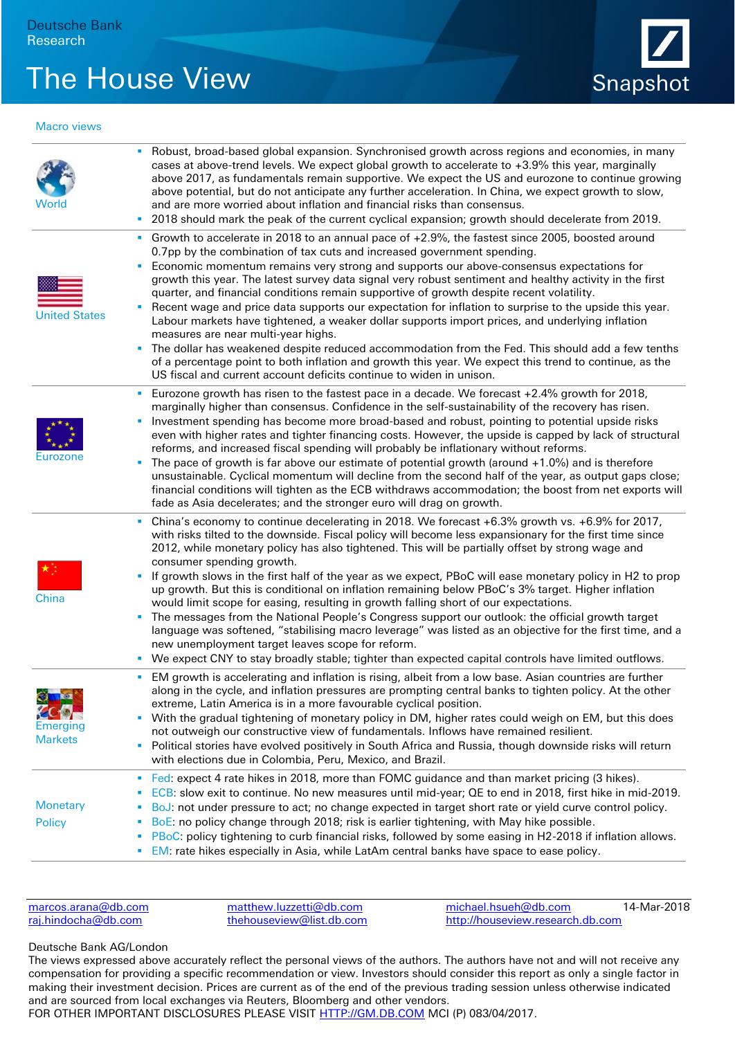## The House View Snapshot



## Macro views

| World                                    | Robust, broad-based global expansion. Synchronised growth across regions and economies, in many<br>cases at above-trend levels. We expect global growth to accelerate to +3.9% this year, marginally<br>above 2017, as fundamentals remain supportive. We expect the US and eurozone to continue growing<br>above potential, but do not anticipate any further acceleration. In China, we expect growth to slow,<br>and are more worried about inflation and financial risks than consensus.<br>2018 should mark the peak of the current cyclical expansion; growth should decelerate from 2019.<br>п<br>Growth to accelerate in 2018 to an annual pace of +2.9%, the fastest since 2005, boosted around                                                                                                                                                                                                                                                                                                                                  |
|------------------------------------------|-------------------------------------------------------------------------------------------------------------------------------------------------------------------------------------------------------------------------------------------------------------------------------------------------------------------------------------------------------------------------------------------------------------------------------------------------------------------------------------------------------------------------------------------------------------------------------------------------------------------------------------------------------------------------------------------------------------------------------------------------------------------------------------------------------------------------------------------------------------------------------------------------------------------------------------------------------------------------------------------------------------------------------------------|
| <b>United States</b>                     | 0.7pp by the combination of tax cuts and increased government spending.<br>Economic momentum remains very strong and supports our above-consensus expectations for<br>٠<br>growth this year. The latest survey data signal very robust sentiment and healthy activity in the first<br>quarter, and financial conditions remain supportive of growth despite recent volatility.<br>Recent wage and price data supports our expectation for inflation to surprise to the upside this year.<br>×<br>Labour markets have tightened, a weaker dollar supports import prices, and underlying inflation<br>measures are near multi-year highs.<br>The dollar has weakened despite reduced accommodation from the Fed. This should add a few tenths<br>۰<br>of a percentage point to both inflation and growth this year. We expect this trend to continue, as the<br>US fiscal and current account deficits continue to widen in unison.                                                                                                         |
| Eurozone                                 | Eurozone growth has risen to the fastest pace in a decade. We forecast +2.4% growth for 2018,<br>п<br>marginally higher than consensus. Confidence in the self-sustainability of the recovery has risen.<br>Investment spending has become more broad-based and robust, pointing to potential upside risks<br>٠<br>even with higher rates and tighter financing costs. However, the upside is capped by lack of structural<br>reforms, and increased fiscal spending will probably be inflationary without reforms.<br>The pace of growth is far above our estimate of potential growth (around $+1.0\%$ ) and is therefore<br>I.<br>unsustainable. Cyclical momentum will decline from the second half of the year, as output gaps close;<br>financial conditions will tighten as the ECB withdraws accommodation; the boost from net exports will<br>fade as Asia decelerates; and the stronger euro will drag on growth.                                                                                                               |
| China                                    | China's economy to continue decelerating in 2018. We forecast +6.3% growth vs. +6.9% for 2017,<br>with risks tilted to the downside. Fiscal policy will become less expansionary for the first time since<br>2012, while monetary policy has also tightened. This will be partially offset by strong wage and<br>consumer spending growth.<br>If growth slows in the first half of the year as we expect, PBoC will ease monetary policy in H2 to prop<br>٠<br>up growth. But this is conditional on inflation remaining below PBoC's 3% target. Higher inflation<br>would limit scope for easing, resulting in growth falling short of our expectations.<br>The messages from the National People's Congress support our outlook: the official growth target<br>language was softened, "stabilising macro leverage" was listed as an objective for the first time, and a<br>new unemployment target leaves scope for reform.<br>We expect CNY to stay broadly stable; tighter than expected capital controls have limited outflows.<br>٠ |
| COL<br><b>Emerging</b><br><b>Markets</b> | EM growth is accelerating and inflation is rising, albeit from a low base. Asian countries are further<br>along in the cycle, and inflation pressures are prompting central banks to tighten policy. At the other<br>extreme, Latin America is in a more favourable cyclical position.<br>With the gradual tightening of monetary policy in DM, higher rates could weigh on EM, but this does<br>٠<br>not outweigh our constructive view of fundamentals. Inflows have remained resilient.<br>Political stories have evolved positively in South Africa and Russia, though downside risks will return<br>٠<br>with elections due in Colombia, Peru, Mexico, and Brazil.                                                                                                                                                                                                                                                                                                                                                                   |
| <b>Monetary</b><br><b>Policy</b>         | Fed: expect 4 rate hikes in 2018, more than FOMC guidance and than market pricing (3 hikes).<br>F<br>ECB: slow exit to continue. No new measures until mid-year; QE to end in 2018, first hike in mid-2019.<br>п<br>BoJ: not under pressure to act; no change expected in target short rate or yield curve control policy.<br>F<br>BoE: no policy change through 2018; risk is earlier tightening, with May hike possible.<br>П<br>PBoC: policy tightening to curb financial risks, followed by some easing in H2-2018 if inflation allows.<br>×<br>EM: rate hikes especially in Asia, while LatAm central banks have space to ease policy.<br>П                                                                                                                                                                                                                                                                                                                                                                                          |

| marcos.arana@db.com | matthew.luzzetti@db.com    | michael.hsueh@db.com             | 14-Mar-2018 |
|---------------------|----------------------------|----------------------------------|-------------|
| raj.hindocha@db.com | the house view@list.db.com | http://houseview.research.db.com |             |

## Deutsche Bank AG/London

The views expressed above accurately reflect the personal views of the authors. The authors have not and will not receive any compensation for providing a specific recommendation or view. Investors should consider this report as only a single factor in making their investment decision. Prices are current as of the end of the previous trading session unless otherwise indicated and are sourced from local exchanges via Reuters, Bloomberg and other vendors. FOR OTHER IMPORTANT DISCLOSURES PLEASE VISIT [HTTP://GM.DB.COM](http://gm.db.com/) MCI (P) 083/04/2017.